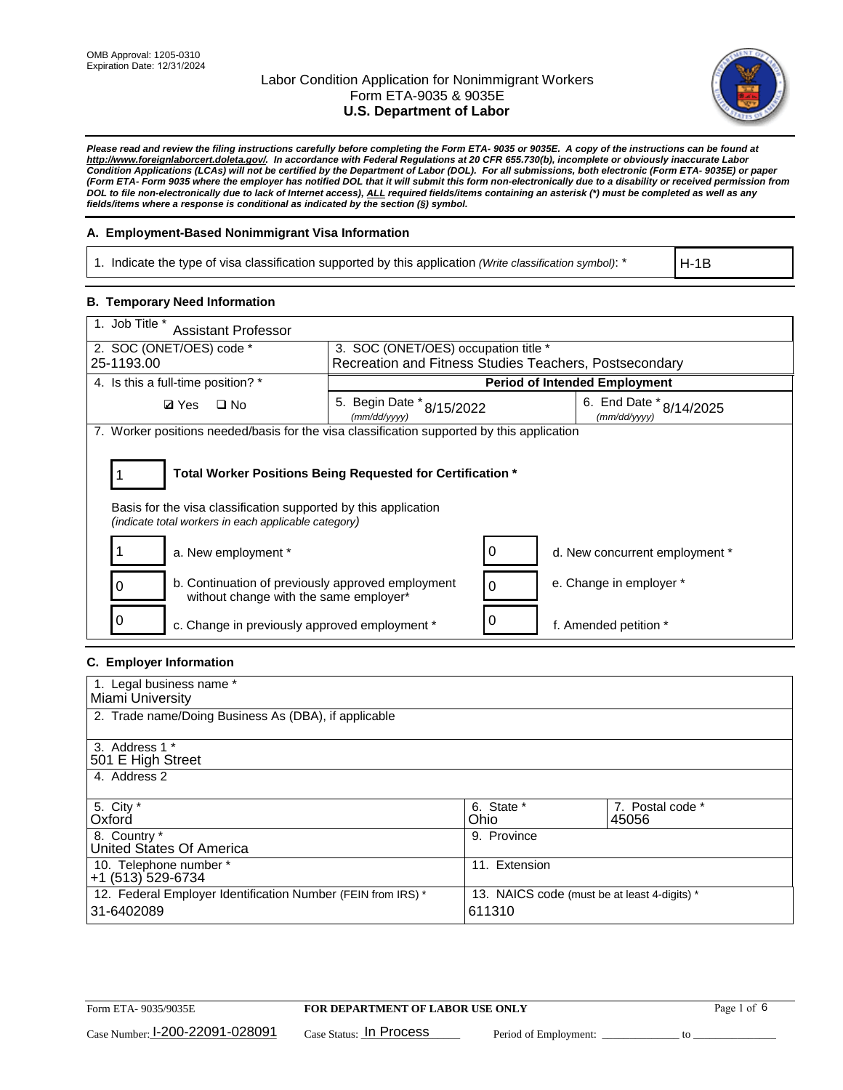

*Please read and review the filing instructions carefully before completing the Form ETA- 9035 or 9035E. A copy of the instructions can be found at [http://www.foreignlaborcert.doleta.gov/.](http://www.foreignlaborcert.doleta.gov/) In accordance with Federal Regulations at 20 CFR 655.730(b), incomplete or obviously inaccurate Labor Condition Applications (LCAs) will not be certified by the Department of Labor (DOL). For all submissions, both electronic (Form ETA- 9035E) or paper (Form ETA- Form 9035 where the employer has notified DOL that it will submit this form non-electronically due to a disability or received permission from DOL to file non-electronically due to lack of Internet access), ALL required fields/items containing an asterisk (\*) must be completed as well as any fields/items where a response is conditional as indicated by the section (§) symbol.* 

### **A. Employment-Based Nonimmigrant Visa Information**

1. Indicate the type of visa classification supported by this application *(Write classification symbol)*: \*

H-1B

### **B. Temporary Need Information**

| 1. Job Title *<br><b>Assistant Professor</b>                                                                                                                                          |                                                        |                                      |                                         |  |
|---------------------------------------------------------------------------------------------------------------------------------------------------------------------------------------|--------------------------------------------------------|--------------------------------------|-----------------------------------------|--|
| 2. SOC (ONET/OES) code *                                                                                                                                                              |                                                        | 3. SOC (ONET/OES) occupation title * |                                         |  |
| 25-1193.00                                                                                                                                                                            | Recreation and Fitness Studies Teachers, Postsecondary |                                      |                                         |  |
| 4. Is this a full-time position? *                                                                                                                                                    |                                                        | <b>Period of Intended Employment</b> |                                         |  |
| $\Box$ No<br><b>Ø</b> Yes                                                                                                                                                             | 5. Begin Date $*_{8/15/2022}$<br>(mm/dd/yyyy)          |                                      | 6. End Date * 8/14/2025<br>(mm/dd/yyyy) |  |
| 7. Worker positions needed/basis for the visa classification supported by this application                                                                                            |                                                        |                                      |                                         |  |
| Total Worker Positions Being Requested for Certification *<br>Basis for the visa classification supported by this application<br>(indicate total workers in each applicable category) |                                                        |                                      |                                         |  |
| a. New employment *                                                                                                                                                                   |                                                        |                                      | d. New concurrent employment *          |  |
| b. Continuation of previously approved employment<br>without change with the same employer*                                                                                           |                                                        | 0                                    | e. Change in employer *                 |  |
| c. Change in previously approved employment *                                                                                                                                         |                                                        |                                      | f. Amended petition *                   |  |

### **C. Employer Information**

| 1. Legal business name *                                                                                     |               |                  |
|--------------------------------------------------------------------------------------------------------------|---------------|------------------|
| Miami University                                                                                             |               |                  |
| 2. Trade name/Doing Business As (DBA), if applicable                                                         |               |                  |
|                                                                                                              |               |                  |
| 3. Address 1 *                                                                                               |               |                  |
| 501 E High Street                                                                                            |               |                  |
| 4. Address 2                                                                                                 |               |                  |
|                                                                                                              |               |                  |
| 5. City *                                                                                                    | 6. State *    | 7. Postal code * |
| Oxford                                                                                                       | Ohio          | 45056            |
| 8. Country *                                                                                                 | 9. Province   |                  |
| United States Of America                                                                                     |               |                  |
| 10. Telephone number *                                                                                       | 11. Extension |                  |
| +1 (513) 529-6734                                                                                            |               |                  |
| 12. Federal Employer Identification Number (FEIN from IRS) *<br>13. NAICS code (must be at least 4-digits) * |               |                  |
| 31-6402089                                                                                                   | 611310        |                  |
|                                                                                                              |               |                  |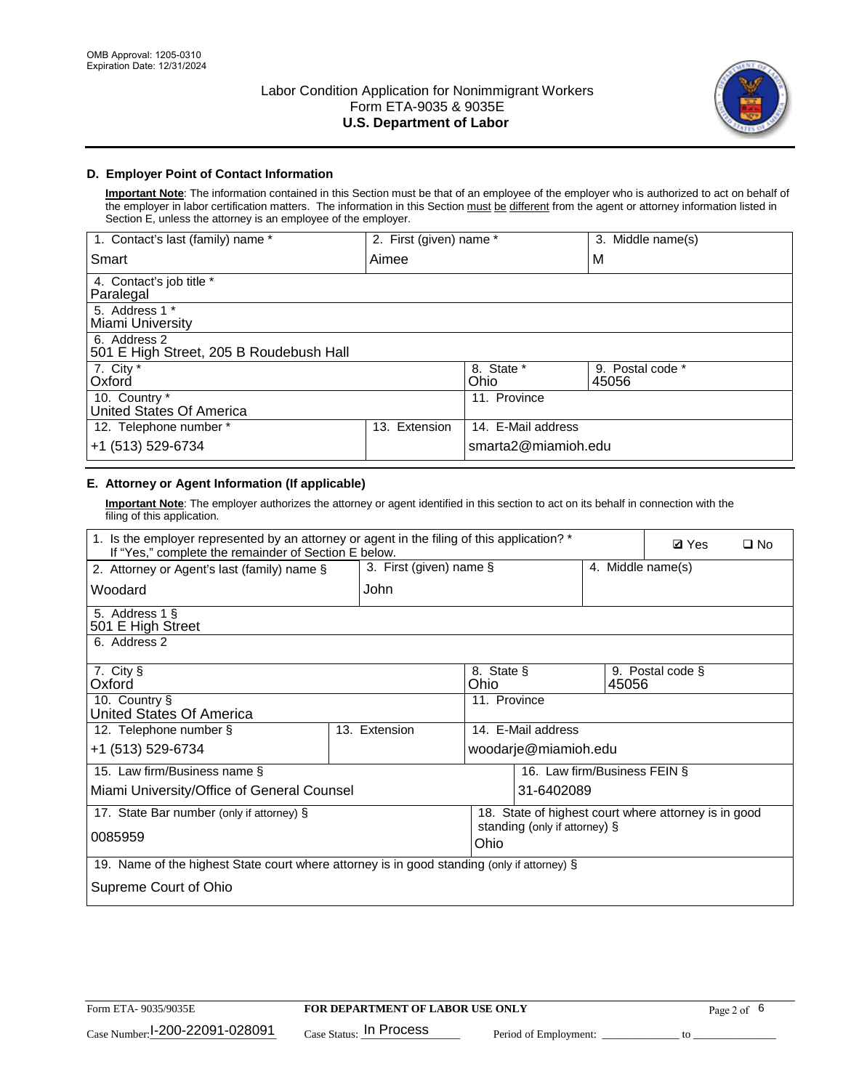

## **D. Employer Point of Contact Information**

**Important Note**: The information contained in this Section must be that of an employee of the employer who is authorized to act on behalf of the employer in labor certification matters. The information in this Section must be different from the agent or attorney information listed in Section E, unless the attorney is an employee of the employer.

| 1. Contact's last (family) name *                       | 2. First (given) name * |                     | 3. Middle name(s)         |
|---------------------------------------------------------|-------------------------|---------------------|---------------------------|
| Smart                                                   | Aimee                   |                     | M                         |
| 4. Contact's job title *<br>Paralegal                   |                         |                     |                           |
| 5. Address 1 *<br>Miami University                      |                         |                     |                           |
| 6. Address 2<br>501 E High Street, 205 B Roudebush Hall |                         |                     |                           |
| 7. City *<br>Oxford                                     |                         | 8. State *<br>Ohio  | 9. Postal code *<br>45056 |
| 10. Country *<br>United States Of America               |                         | 11. Province        |                           |
| 12. Telephone number *                                  | Extension<br>13.        | 14. E-Mail address  |                           |
| +1 (513) 529-6734                                       |                         | smarta2@miamioh.edu |                           |

# **E. Attorney or Agent Information (If applicable)**

**Important Note**: The employer authorizes the attorney or agent identified in this section to act on its behalf in connection with the filing of this application.

| 1. Is the employer represented by an attorney or agent in the filing of this application? *<br>If "Yes," complete the remainder of Section E below. |                         |                    |                                                      |                   | <b>Ø</b> Yes     | $\Box$ No |
|-----------------------------------------------------------------------------------------------------------------------------------------------------|-------------------------|--------------------|------------------------------------------------------|-------------------|------------------|-----------|
| 2. Attorney or Agent's last (family) name §                                                                                                         | 3. First (given) name § |                    |                                                      | 4. Middle name(s) |                  |           |
| Woodard                                                                                                                                             | John                    |                    |                                                      |                   |                  |           |
| 5. Address 1 §<br>501 E High Street                                                                                                                 |                         |                    |                                                      |                   |                  |           |
| 6. Address 2                                                                                                                                        |                         |                    |                                                      |                   |                  |           |
| 7. City §<br>Oxford                                                                                                                                 |                         | 8. State §<br>Ohio |                                                      | 45056             | 9. Postal code § |           |
| 10. Country §<br>United States Of America                                                                                                           |                         | 11. Province       |                                                      |                   |                  |           |
| 12. Telephone number §                                                                                                                              | 13. Extension           |                    | 14. E-Mail address                                   |                   |                  |           |
| +1 (513) 529-6734                                                                                                                                   |                         |                    | woodarje@miamioh.edu                                 |                   |                  |           |
| 15. Law firm/Business name §                                                                                                                        |                         |                    | 16. Law firm/Business FEIN §                         |                   |                  |           |
| Miami University/Office of General Counsel                                                                                                          |                         |                    | 31-6402089                                           |                   |                  |           |
| 17. State Bar number (only if attorney) §                                                                                                           |                         |                    | 18. State of highest court where attorney is in good |                   |                  |           |
| 0085959                                                                                                                                             |                         | Ohio               | standing (only if attorney) §                        |                   |                  |           |
| 19. Name of the highest State court where attorney is in good standing (only if attorney) §                                                         |                         |                    |                                                      |                   |                  |           |
| Supreme Court of Ohio                                                                                                                               |                         |                    |                                                      |                   |                  |           |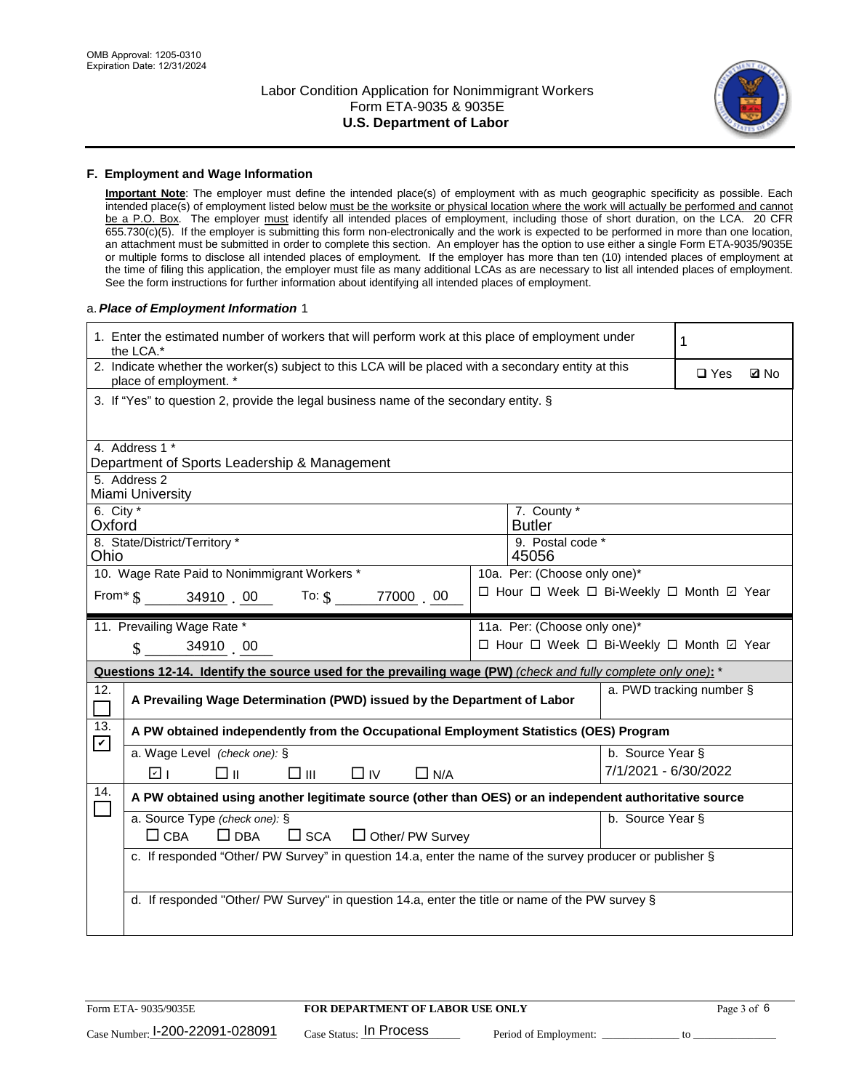

#### **F. Employment and Wage Information**

**Important Note**: The employer must define the intended place(s) of employment with as much geographic specificity as possible. Each intended place(s) of employment listed below must be the worksite or physical location where the work will actually be performed and cannot be a P.O. Box. The employer must identify all intended places of employment, including those of short duration, on the LCA. 20 CFR 655.730(c)(5). If the employer is submitting this form non-electronically and the work is expected to be performed in more than one location, an attachment must be submitted in order to complete this section. An employer has the option to use either a single Form ETA-9035/9035E or multiple forms to disclose all intended places of employment. If the employer has more than ten (10) intended places of employment at the time of filing this application, the employer must file as many additional LCAs as are necessary to list all intended places of employment. See the form instructions for further information about identifying all intended places of employment.

#### a.*Place of Employment Information* 1

|                       | 1. Enter the estimated number of workers that will perform work at this place of employment under<br>the LCA.*                 |  |                                          |                      |  |             |
|-----------------------|--------------------------------------------------------------------------------------------------------------------------------|--|------------------------------------------|----------------------|--|-------------|
|                       | 2. Indicate whether the worker(s) subject to this LCA will be placed with a secondary entity at this<br>place of employment. * |  |                                          |                      |  | <b>Z</b> No |
|                       | 3. If "Yes" to question 2, provide the legal business name of the secondary entity. §                                          |  |                                          |                      |  |             |
|                       | 4. Address 1 *<br>Department of Sports Leadership & Management                                                                 |  |                                          |                      |  |             |
|                       | 5. Address 2<br>Miami University                                                                                               |  |                                          |                      |  |             |
| 6. City $*$<br>Oxford |                                                                                                                                |  | 7. County *<br><b>Butler</b>             |                      |  |             |
| Ohio                  | 8. State/District/Territory *                                                                                                  |  | 9. Postal code *<br>45056                |                      |  |             |
|                       | 10. Wage Rate Paid to Nonimmigrant Workers *                                                                                   |  | 10a. Per: (Choose only one)*             |                      |  |             |
|                       | From* $\$$ 34910 00 To: $\$\$<br>77000 00                                                                                      |  | □ Hour □ Week □ Bi-Weekly □ Month □ Year |                      |  |             |
|                       | 11. Prevailing Wage Rate *                                                                                                     |  | 11a. Per: (Choose only one)*             |                      |  |             |
|                       | 34910 00<br>$\mathcal{S}$                                                                                                      |  | □ Hour □ Week □ Bi-Weekly □ Month ☑ Year |                      |  |             |
|                       | Questions 12-14. Identify the source used for the prevailing wage (PW) (check and fully complete only one): *                  |  |                                          |                      |  |             |
| 12.<br>$\Box$         | a. PWD tracking number §<br>A Prevailing Wage Determination (PWD) issued by the Department of Labor                            |  |                                          |                      |  |             |
| 13.<br>$\mathbf v$    | A PW obtained independently from the Occupational Employment Statistics (OES) Program                                          |  |                                          |                      |  |             |
|                       | a. Wage Level (check one): §                                                                                                   |  |                                          | b. Source Year §     |  |             |
|                       | □⊪<br>$\square$ $\square$<br>ला<br>$\Box$ IV<br>$\Box$ N/A                                                                     |  |                                          | 7/1/2021 - 6/30/2022 |  |             |
| 14.                   | A PW obtained using another legitimate source (other than OES) or an independent authoritative source                          |  |                                          |                      |  |             |
|                       | a. Source Type (check one): §<br>$\Box$ CBA<br>$\Box$ DBA<br>$\square$ SCA<br>$\Box$ Other/ PW Survey                          |  |                                          | b. Source Year §     |  |             |
|                       | c. If responded "Other/ PW Survey" in question 14.a, enter the name of the survey producer or publisher §                      |  |                                          |                      |  |             |
|                       | d. If responded "Other/ PW Survey" in question 14.a, enter the title or name of the PW survey §                                |  |                                          |                      |  |             |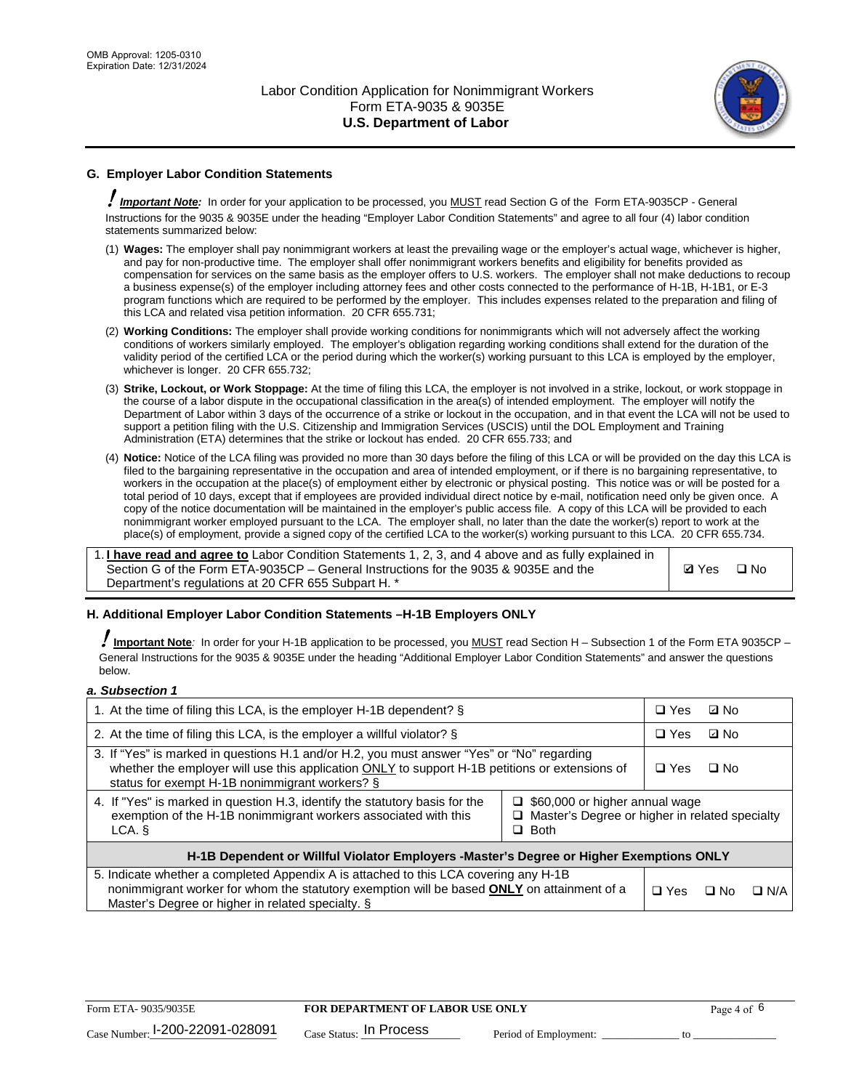

# **G. Employer Labor Condition Statements**

! *Important Note:* In order for your application to be processed, you MUST read Section G of the Form ETA-9035CP - General Instructions for the 9035 & 9035E under the heading "Employer Labor Condition Statements" and agree to all four (4) labor condition statements summarized below:

- (1) **Wages:** The employer shall pay nonimmigrant workers at least the prevailing wage or the employer's actual wage, whichever is higher, and pay for non-productive time. The employer shall offer nonimmigrant workers benefits and eligibility for benefits provided as compensation for services on the same basis as the employer offers to U.S. workers. The employer shall not make deductions to recoup a business expense(s) of the employer including attorney fees and other costs connected to the performance of H-1B, H-1B1, or E-3 program functions which are required to be performed by the employer. This includes expenses related to the preparation and filing of this LCA and related visa petition information. 20 CFR 655.731;
- (2) **Working Conditions:** The employer shall provide working conditions for nonimmigrants which will not adversely affect the working conditions of workers similarly employed. The employer's obligation regarding working conditions shall extend for the duration of the validity period of the certified LCA or the period during which the worker(s) working pursuant to this LCA is employed by the employer, whichever is longer. 20 CFR 655.732;
- (3) **Strike, Lockout, or Work Stoppage:** At the time of filing this LCA, the employer is not involved in a strike, lockout, or work stoppage in the course of a labor dispute in the occupational classification in the area(s) of intended employment. The employer will notify the Department of Labor within 3 days of the occurrence of a strike or lockout in the occupation, and in that event the LCA will not be used to support a petition filing with the U.S. Citizenship and Immigration Services (USCIS) until the DOL Employment and Training Administration (ETA) determines that the strike or lockout has ended. 20 CFR 655.733; and
- (4) **Notice:** Notice of the LCA filing was provided no more than 30 days before the filing of this LCA or will be provided on the day this LCA is filed to the bargaining representative in the occupation and area of intended employment, or if there is no bargaining representative, to workers in the occupation at the place(s) of employment either by electronic or physical posting. This notice was or will be posted for a total period of 10 days, except that if employees are provided individual direct notice by e-mail, notification need only be given once. A copy of the notice documentation will be maintained in the employer's public access file. A copy of this LCA will be provided to each nonimmigrant worker employed pursuant to the LCA. The employer shall, no later than the date the worker(s) report to work at the place(s) of employment, provide a signed copy of the certified LCA to the worker(s) working pursuant to this LCA. 20 CFR 655.734.

1. **I have read and agree to** Labor Condition Statements 1, 2, 3, and 4 above and as fully explained in Section G of the Form ETA-9035CP – General Instructions for the 9035 & 9035E and the Department's regulations at 20 CFR 655 Subpart H. \*

**Ø**Yes ロNo

### **H. Additional Employer Labor Condition Statements –H-1B Employers ONLY**

!**Important Note***:* In order for your H-1B application to be processed, you MUST read Section H – Subsection 1 of the Form ETA 9035CP – General Instructions for the 9035 & 9035E under the heading "Additional Employer Labor Condition Statements" and answer the questions below.

#### *a. Subsection 1*

| 1. At the time of filing this LCA, is the employer H-1B dependent? §                                                                                                                                                                                                 |  | $\Box$ Yes | ⊡ No |            |
|----------------------------------------------------------------------------------------------------------------------------------------------------------------------------------------------------------------------------------------------------------------------|--|------------|------|------------|
| 2. At the time of filing this LCA, is the employer a willful violator? $\S$                                                                                                                                                                                          |  | $\Box$ Yes | ⊡ No |            |
| 3. If "Yes" is marked in questions H.1 and/or H.2, you must answer "Yes" or "No" regarding<br>whether the employer will use this application ONLY to support H-1B petitions or extensions of<br>status for exempt H-1B nonimmigrant workers? §                       |  | $\Box$ Yes | ∩ No |            |
| 4. If "Yes" is marked in question H.3, identify the statutory basis for the<br>$\Box$ \$60,000 or higher annual wage<br>exemption of the H-1B nonimmigrant workers associated with this<br>□ Master's Degree or higher in related specialty<br>$\Box$ Both<br>LCA. § |  |            |      |            |
| H-1B Dependent or Willful Violator Employers -Master's Degree or Higher Exemptions ONLY                                                                                                                                                                              |  |            |      |            |
| 5. Indicate whether a completed Appendix A is attached to this LCA covering any H-1B<br>nonimmigrant worker for whom the statutory exemption will be based <b>ONLY</b> on attainment of a<br>Master's Degree or higher in related specialty. §                       |  |            | ⊡ No | $\Box$ N/A |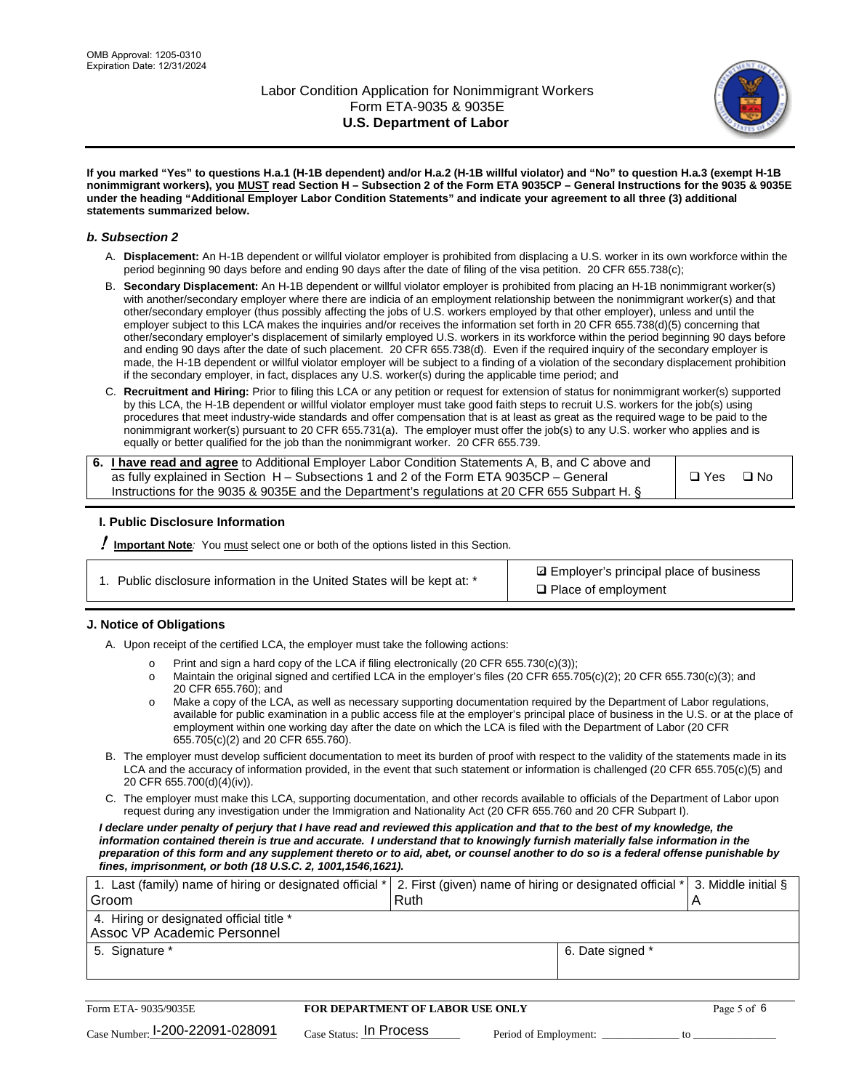

**If you marked "Yes" to questions H.a.1 (H-1B dependent) and/or H.a.2 (H-1B willful violator) and "No" to question H.a.3 (exempt H-1B nonimmigrant workers), you MUST read Section H – Subsection 2 of the Form ETA 9035CP – General Instructions for the 9035 & 9035E under the heading "Additional Employer Labor Condition Statements" and indicate your agreement to all three (3) additional statements summarized below.**

#### *b. Subsection 2*

- A. **Displacement:** An H-1B dependent or willful violator employer is prohibited from displacing a U.S. worker in its own workforce within the period beginning 90 days before and ending 90 days after the date of filing of the visa petition. 20 CFR 655.738(c);
- B. **Secondary Displacement:** An H-1B dependent or willful violator employer is prohibited from placing an H-1B nonimmigrant worker(s) with another/secondary employer where there are indicia of an employment relationship between the nonimmigrant worker(s) and that other/secondary employer (thus possibly affecting the jobs of U.S. workers employed by that other employer), unless and until the employer subject to this LCA makes the inquiries and/or receives the information set forth in 20 CFR 655.738(d)(5) concerning that other/secondary employer's displacement of similarly employed U.S. workers in its workforce within the period beginning 90 days before and ending 90 days after the date of such placement. 20 CFR 655.738(d). Even if the required inquiry of the secondary employer is made, the H-1B dependent or willful violator employer will be subject to a finding of a violation of the secondary displacement prohibition if the secondary employer, in fact, displaces any U.S. worker(s) during the applicable time period; and
- C. **Recruitment and Hiring:** Prior to filing this LCA or any petition or request for extension of status for nonimmigrant worker(s) supported by this LCA, the H-1B dependent or willful violator employer must take good faith steps to recruit U.S. workers for the job(s) using procedures that meet industry-wide standards and offer compensation that is at least as great as the required wage to be paid to the nonimmigrant worker(s) pursuant to 20 CFR 655.731(a). The employer must offer the job(s) to any U.S. worker who applies and is equally or better qualified for the job than the nonimmigrant worker. 20 CFR 655.739.

| 6. I have read and agree to Additional Employer Labor Condition Statements A, B, and C above and |       |           |
|--------------------------------------------------------------------------------------------------|-------|-----------|
| as fully explained in Section H – Subsections 1 and 2 of the Form ETA 9035CP – General           | □ Yes | $\Box$ No |
| Instructions for the 9035 & 9035 E and the Department's regulations at 20 CFR 655 Subpart H. §   |       |           |

### **I. Public Disclosure Information**

! **Important Note***:* You must select one or both of the options listed in this Section.

**sqrt** Employer's principal place of business □ Place of employment

### **J. Notice of Obligations**

A. Upon receipt of the certified LCA, the employer must take the following actions:

- o Print and sign a hard copy of the LCA if filing electronically (20 CFR 655.730(c)(3));<br>
Maintain the original signed and certified LCA in the employer's files (20 CFR 655.7
- Maintain the original signed and certified LCA in the employer's files (20 CFR 655.705(c)(2); 20 CFR 655.730(c)(3); and 20 CFR 655.760); and
- o Make a copy of the LCA, as well as necessary supporting documentation required by the Department of Labor regulations, available for public examination in a public access file at the employer's principal place of business in the U.S. or at the place of employment within one working day after the date on which the LCA is filed with the Department of Labor (20 CFR 655.705(c)(2) and 20 CFR 655.760).
- B. The employer must develop sufficient documentation to meet its burden of proof with respect to the validity of the statements made in its LCA and the accuracy of information provided, in the event that such statement or information is challenged (20 CFR 655.705(c)(5) and 20 CFR 655.700(d)(4)(iv)).
- C. The employer must make this LCA, supporting documentation, and other records available to officials of the Department of Labor upon request during any investigation under the Immigration and Nationality Act (20 CFR 655.760 and 20 CFR Subpart I).

*I declare under penalty of perjury that I have read and reviewed this application and that to the best of my knowledge, the*  information contained therein is true and accurate. I understand that to knowingly furnish materially false information in the *preparation of this form and any supplement thereto or to aid, abet, or counsel another to do so is a federal offense punishable by fines, imprisonment, or both (18 U.S.C. 2, 1001,1546,1621).*

| 1. Last (family) name of hiring or designated official *  2. First (given) name of hiring or designated official *  3. Middle initial § |      |                  |  |
|-----------------------------------------------------------------------------------------------------------------------------------------|------|------------------|--|
| Groom                                                                                                                                   | Ruth |                  |  |
| 4. Hiring or designated official title *                                                                                                |      |                  |  |
| Assoc VP Academic Personnel                                                                                                             |      |                  |  |
| 5. Signature *                                                                                                                          |      | 6. Date signed * |  |
|                                                                                                                                         |      |                  |  |

| Form ETA-9035/9035E             | FOR DEPARTMENT OF LABOR USE ONLY    |                       | Page 5 of 6 |
|---------------------------------|-------------------------------------|-----------------------|-------------|
| Case Number: 1-200-22091-028091 | $_{\text{Case Status:}}$ In Process | Period of Employment: |             |